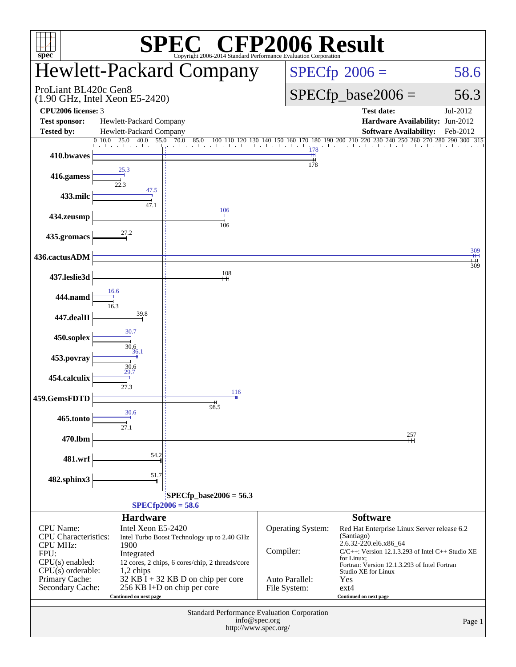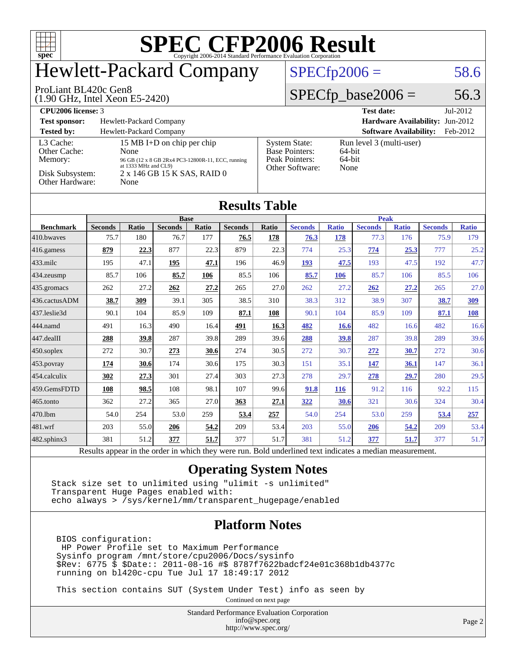

### Hewlett-Packard Company

#### $SPECTp2006 = 58.6$

#### ProLiant BL420c Gen8

(1.90 GHz, Intel Xeon E5-2420)

 $SPECfp\_base2006 = 56.3$ 

| <b>CPU2006 license: 3</b>                                                  |                                                                                                                                                        |                                                                                    | <b>Test date:</b><br>$Jul-2012$                            |
|----------------------------------------------------------------------------|--------------------------------------------------------------------------------------------------------------------------------------------------------|------------------------------------------------------------------------------------|------------------------------------------------------------|
| <b>Test sponsor:</b>                                                       | Hewlett-Packard Company                                                                                                                                |                                                                                    | <b>Hardware Availability: Jun-2012</b>                     |
| <b>Tested by:</b>                                                          | Hewlett-Packard Company                                                                                                                                |                                                                                    | <b>Software Availability:</b><br>Feb-2012                  |
| L3 Cache:<br>Other Cache:<br>Memory:<br>Disk Subsystem:<br>Other Hardware: | 15 MB I+D on chip per chip<br>None<br>96 GB (12 x 8 GB 2Rx4 PC3-12800R-11, ECC, running<br>at 1333 MHz and CL9)<br>2 x 146 GB 15 K SAS, RAID 0<br>None | <b>System State:</b><br><b>Base Pointers:</b><br>Peak Pointers:<br>Other Software: | Run level 3 (multi-user)<br>$64$ -bit<br>$64$ -bit<br>None |

**[Results Table](http://www.spec.org/auto/cpu2006/Docs/result-fields.html#ResultsTable)**

| Results Table     |                |              |                |       |                |              |                |              |                |              |                |              |
|-------------------|----------------|--------------|----------------|-------|----------------|--------------|----------------|--------------|----------------|--------------|----------------|--------------|
|                   | <b>Base</b>    |              |                |       |                |              | <b>Peak</b>    |              |                |              |                |              |
| <b>Benchmark</b>  | <b>Seconds</b> | <b>Ratio</b> | <b>Seconds</b> | Ratio | <b>Seconds</b> | <b>Ratio</b> | <b>Seconds</b> | <b>Ratio</b> | <b>Seconds</b> | <b>Ratio</b> | <b>Seconds</b> | <b>Ratio</b> |
| 410.bwayes        | 75.7           | 180          | 76.7           | 177   | 76.5           | 178          | 76.3           | 178          | 77.3           | 176          | 75.9           | 179          |
| 416.gamess        | 879            | 22.3         | 877            | 22.3  | 879            | 22.3         | 774            | 25.3         | 774            | 25.3         | 777            | 25.2         |
| $433$ .milc       | 195            | 47.1         | 195            | 47.1  | 196            | 46.9         | <u>193</u>     | 47.5         | 193            | 47.5         | 192            | 47.7         |
| $434$ . zeusmp    | 85.7           | 106          | 85.7           | 106   | 85.5           | 106          | 85.7           | 106          | 85.7           | 106          | 85.5           | 106          |
| 435.gromacs       | 262            | 27.2         | 262            | 27.2  | 265            | 27.0         | 262            | 27.2         | 262            | 27.2         | 265            | 27.0         |
| 436.cactusADM     | 38.7           | 309          | 39.1           | 305   | 38.5           | 310          | 38.3           | 312          | 38.9           | 307          | 38.7           | <u>309</u>   |
| 437.leslie3d      | 90.1           | 104          | 85.9           | 109   | 87.1           | 108          | 90.1           | 104          | 85.9           | 109          | 87.1           | <b>108</b>   |
| 444.namd          | 491            | 16.3         | 490            | 16.4  | 491            | 16.3         | 482            | 16.6         | 482            | 16.6         | 482            | 16.6         |
| 447.dealII        | 288            | 39.8         | 287            | 39.8  | 289            | 39.6         | 288            | 39.8         | 287            | 39.8         | 289            | 39.6         |
| $450$ .soplex     | 272            | 30.7         | 273            | 30.6  | 274            | 30.5         | 272            | 30.7         | 272            | 30.7         | 272            | 30.6         |
| 453.povray        | 174            | 30.6         | 174            | 30.6  | 175            | 30.3         | 151            | 35.1         | <u>147</u>     | 36.1         | 147            | 36.1         |
| $454$ calculix    | 302            | 27.3         | 301            | 27.4  | 303            | 27.3         | 278            | 29.7         | 278            | 29.7         | 280            | 29.5         |
| 459.GemsFDTD      | 108            | 98.5         | 108            | 98.1  | 107            | 99.6         | 91.8           | <u>116</u>   | 91.2           | 116          | 92.2           | 115          |
| 465.tonto         | 362            | 27.2         | 365            | 27.0  | 363            | 27.1         | 322            | 30.6         | 321            | 30.6         | 324            | 30.4         |
| 470.1bm           | 54.0           | 254          | 53.0           | 259   | 53.4           | 257          | 54.0           | 254          | 53.0           | 259          | 53.4           | 257          |
| 481.wrf           | 203            | 55.0         | 206            | 54.2  | 209            | 53.4         | 203            | 55.0         | 206            | 54.2         | 209            | 53.4         |
| $482$ .sphinx $3$ | 381            | 51.2         | 377            | 51.7  | 377            | 51.7         | 381            | 51.2         | 377            | 51.7         | 377            | 51.7         |

Results appear in the [order in which they were run.](http://www.spec.org/auto/cpu2006/Docs/result-fields.html#RunOrder) Bold underlined text [indicates a median measurement.](http://www.spec.org/auto/cpu2006/Docs/result-fields.html#Median)

#### **[Operating System Notes](http://www.spec.org/auto/cpu2006/Docs/result-fields.html#OperatingSystemNotes)**

Stack size set to unlimited using "ulimit -s unlimited" Transparent Huge Pages enabled with: echo always > /sys/kernel/mm/transparent\_hugepage/enabled

#### **[Platform Notes](http://www.spec.org/auto/cpu2006/Docs/result-fields.html#PlatformNotes)**

 BIOS configuration: HP Power Profile set to Maximum Performance Sysinfo program /mnt/store/cpu2006/Docs/sysinfo \$Rev: 6775 \$ \$Date:: 2011-08-16 #\$ 8787f7622badcf24e01c368b1db4377c running on bl420c-cpu Tue Jul 17 18:49:17 2012

This section contains SUT (System Under Test) info as seen by

Continued on next page

Standard Performance Evaluation Corporation [info@spec.org](mailto:info@spec.org) <http://www.spec.org/>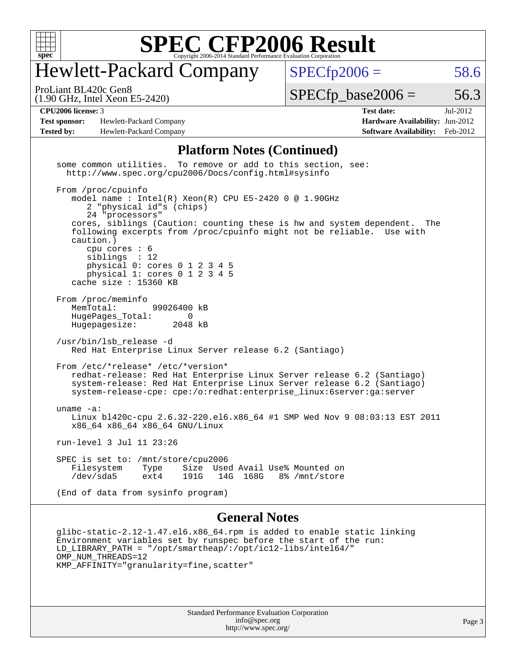

### Hewlett-Packard Company

 $SPECTp2006 = 58.6$ 

(1.90 GHz, Intel Xeon E5-2420) ProLiant BL420c Gen8

 $SPECTp\_base2006 = 56.3$ 

**[Test sponsor:](http://www.spec.org/auto/cpu2006/Docs/result-fields.html#Testsponsor)** Hewlett-Packard Company **[Hardware Availability:](http://www.spec.org/auto/cpu2006/Docs/result-fields.html#HardwareAvailability)** Jun-2012 **[Tested by:](http://www.spec.org/auto/cpu2006/Docs/result-fields.html#Testedby)** Hewlett-Packard Company **[Software Availability:](http://www.spec.org/auto/cpu2006/Docs/result-fields.html#SoftwareAvailability)** Feb-2012

**[CPU2006 license:](http://www.spec.org/auto/cpu2006/Docs/result-fields.html#CPU2006license)** 3 **[Test date:](http://www.spec.org/auto/cpu2006/Docs/result-fields.html#Testdate)** Jul-2012

#### **[Platform Notes \(Continued\)](http://www.spec.org/auto/cpu2006/Docs/result-fields.html#PlatformNotes)**

 some common utilities. To remove or add to this section, see: <http://www.spec.org/cpu2006/Docs/config.html#sysinfo> From /proc/cpuinfo model name : Intel(R) Xeon(R) CPU E5-2420 0 @ 1.90GHz 2 "physical id"s (chips) 24 "processors" cores, siblings (Caution: counting these is hw and system dependent. The following excerpts from /proc/cpuinfo might not be reliable. Use with caution.) cpu cores : 6 siblings : 12 physical 0: cores 0 1 2 3 4 5 physical 1: cores 0 1 2 3 4 5 cache size : 15360 KB From /proc/meminfo MemTotal: 99026400 kB HugePages\_Total: 0<br>Hugepagesize: 2048 kB Hugepagesize: /usr/bin/lsb\_release -d Red Hat Enterprise Linux Server release 6.2 (Santiago) From /etc/\*release\* /etc/\*version\* redhat-release: Red Hat Enterprise Linux Server release 6.2 (Santiago) system-release: Red Hat Enterprise Linux Server release 6.2 (Santiago) system-release-cpe: cpe:/o:redhat:enterprise\_linux:6server:ga:server uname -a: Linux bl420c-cpu 2.6.32-220.el6.x86\_64 #1 SMP Wed Nov 9 08:03:13 EST 2011 x86\_64 x86\_64 x86\_64 GNU/Linux run-level 3 Jul 11 23:26 SPEC is set to: /mnt/store/cpu2006 Filesystem Type Size Used-Avail-Use%-Mounted-on-<br>  $\text{dev/sda5}$  ext4 191G 14G 168G 8%-/mnt/store 14G 168G 8% /mnt/store (End of data from sysinfo program) **[General Notes](http://www.spec.org/auto/cpu2006/Docs/result-fields.html#GeneralNotes)** glibc-static-2.12-1.47.el6.x86\_64.rpm is added to enable static linking Environment variables set by runspec before the start of the run: LD LIBRARY PATH = "/opt/smartheap/:/opt/ic12-libs/intel64/" OMP NUM THREADS=12 KMP\_AFFINITY="granularity=fine,scatter"

> Standard Performance Evaluation Corporation [info@spec.org](mailto:info@spec.org) <http://www.spec.org/>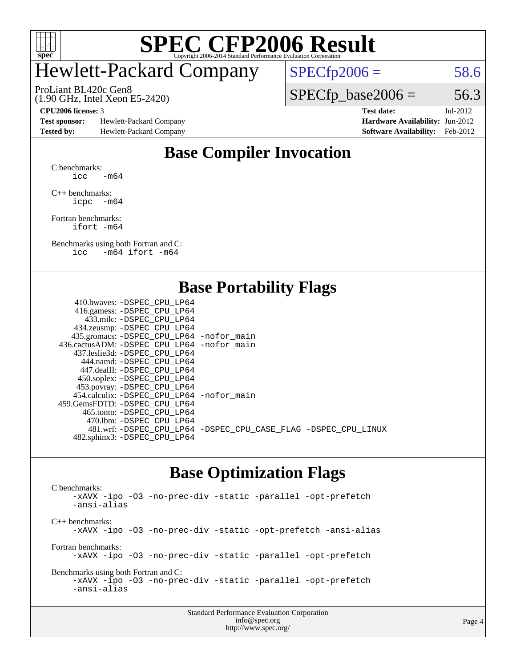

### Hewlett-Packard Company

(1.90 GHz, Intel Xeon E5-2420) ProLiant BL420c Gen8

 $SPECTp2006 = 58.6$ 

 $SPECTp\_base2006 = 56.3$ 

**[Test sponsor:](http://www.spec.org/auto/cpu2006/Docs/result-fields.html#Testsponsor)** Hewlett-Packard Company **[Hardware Availability:](http://www.spec.org/auto/cpu2006/Docs/result-fields.html#HardwareAvailability)** Jun-2012 **[Tested by:](http://www.spec.org/auto/cpu2006/Docs/result-fields.html#Testedby)** Hewlett-Packard Company **[Software Availability:](http://www.spec.org/auto/cpu2006/Docs/result-fields.html#SoftwareAvailability)** Feb-2012

**[CPU2006 license:](http://www.spec.org/auto/cpu2006/Docs/result-fields.html#CPU2006license)** 3 **[Test date:](http://www.spec.org/auto/cpu2006/Docs/result-fields.html#Testdate)** Jul-2012

#### **[Base Compiler Invocation](http://www.spec.org/auto/cpu2006/Docs/result-fields.html#BaseCompilerInvocation)**

[C benchmarks](http://www.spec.org/auto/cpu2006/Docs/result-fields.html#Cbenchmarks):  $\text{icc}$   $-\text{m64}$ 

[C++ benchmarks:](http://www.spec.org/auto/cpu2006/Docs/result-fields.html#CXXbenchmarks) [icpc -m64](http://www.spec.org/cpu2006/results/res2012q3/cpu2006-20120813-24225.flags.html#user_CXXbase_intel_icpc_64bit_bedb90c1146cab66620883ef4f41a67e)

[Fortran benchmarks](http://www.spec.org/auto/cpu2006/Docs/result-fields.html#Fortranbenchmarks): [ifort -m64](http://www.spec.org/cpu2006/results/res2012q3/cpu2006-20120813-24225.flags.html#user_FCbase_intel_ifort_64bit_ee9d0fb25645d0210d97eb0527dcc06e)

[Benchmarks using both Fortran and C](http://www.spec.org/auto/cpu2006/Docs/result-fields.html#BenchmarksusingbothFortranandC): [icc -m64](http://www.spec.org/cpu2006/results/res2012q3/cpu2006-20120813-24225.flags.html#user_CC_FCbase_intel_icc_64bit_0b7121f5ab7cfabee23d88897260401c) [ifort -m64](http://www.spec.org/cpu2006/results/res2012q3/cpu2006-20120813-24225.flags.html#user_CC_FCbase_intel_ifort_64bit_ee9d0fb25645d0210d97eb0527dcc06e)

#### **[Base Portability Flags](http://www.spec.org/auto/cpu2006/Docs/result-fields.html#BasePortabilityFlags)**

| 410.bwaves: -DSPEC CPU LP64                 |                                                                |
|---------------------------------------------|----------------------------------------------------------------|
| 416.gamess: - DSPEC_CPU_LP64                |                                                                |
| 433.milc: -DSPEC CPU LP64                   |                                                                |
| 434.zeusmp: -DSPEC_CPU_LP64                 |                                                                |
| 435.gromacs: -DSPEC_CPU_LP64 -nofor_main    |                                                                |
| 436.cactusADM: -DSPEC CPU LP64 -nofor main  |                                                                |
| 437.leslie3d: -DSPEC CPU LP64               |                                                                |
| 444.namd: -DSPEC CPU LP64                   |                                                                |
| 447.dealII: -DSPEC CPU LP64                 |                                                                |
| 450.soplex: -DSPEC_CPU_LP64                 |                                                                |
| 453.povray: -DSPEC_CPU_LP64                 |                                                                |
| 454.calculix: - DSPEC CPU LP64 - nofor main |                                                                |
| 459.GemsFDTD: -DSPEC CPU LP64               |                                                                |
| 465.tonto: - DSPEC CPU LP64                 |                                                                |
| 470.1bm: - DSPEC CPU LP64                   |                                                                |
|                                             | 481.wrf: -DSPEC_CPU_LP64 -DSPEC_CPU_CASE_FLAG -DSPEC_CPU_LINUX |
| 482.sphinx3: -DSPEC_CPU_LP64                |                                                                |
|                                             |                                                                |

#### **[Base Optimization Flags](http://www.spec.org/auto/cpu2006/Docs/result-fields.html#BaseOptimizationFlags)**

[C benchmarks](http://www.spec.org/auto/cpu2006/Docs/result-fields.html#Cbenchmarks): [-xAVX](http://www.spec.org/cpu2006/results/res2012q3/cpu2006-20120813-24225.flags.html#user_CCbase_f-xAVX) [-ipo](http://www.spec.org/cpu2006/results/res2012q3/cpu2006-20120813-24225.flags.html#user_CCbase_f-ipo) [-O3](http://www.spec.org/cpu2006/results/res2012q3/cpu2006-20120813-24225.flags.html#user_CCbase_f-O3) [-no-prec-div](http://www.spec.org/cpu2006/results/res2012q3/cpu2006-20120813-24225.flags.html#user_CCbase_f-no-prec-div) [-static](http://www.spec.org/cpu2006/results/res2012q3/cpu2006-20120813-24225.flags.html#user_CCbase_f-static) [-parallel](http://www.spec.org/cpu2006/results/res2012q3/cpu2006-20120813-24225.flags.html#user_CCbase_f-parallel) [-opt-prefetch](http://www.spec.org/cpu2006/results/res2012q3/cpu2006-20120813-24225.flags.html#user_CCbase_f-opt-prefetch) [-ansi-alias](http://www.spec.org/cpu2006/results/res2012q3/cpu2006-20120813-24225.flags.html#user_CCbase_f-ansi-alias) [C++ benchmarks:](http://www.spec.org/auto/cpu2006/Docs/result-fields.html#CXXbenchmarks) [-xAVX](http://www.spec.org/cpu2006/results/res2012q3/cpu2006-20120813-24225.flags.html#user_CXXbase_f-xAVX) [-ipo](http://www.spec.org/cpu2006/results/res2012q3/cpu2006-20120813-24225.flags.html#user_CXXbase_f-ipo) [-O3](http://www.spec.org/cpu2006/results/res2012q3/cpu2006-20120813-24225.flags.html#user_CXXbase_f-O3) [-no-prec-div](http://www.spec.org/cpu2006/results/res2012q3/cpu2006-20120813-24225.flags.html#user_CXXbase_f-no-prec-div) [-static](http://www.spec.org/cpu2006/results/res2012q3/cpu2006-20120813-24225.flags.html#user_CXXbase_f-static) [-opt-prefetch](http://www.spec.org/cpu2006/results/res2012q3/cpu2006-20120813-24225.flags.html#user_CXXbase_f-opt-prefetch) [-ansi-alias](http://www.spec.org/cpu2006/results/res2012q3/cpu2006-20120813-24225.flags.html#user_CXXbase_f-ansi-alias) [Fortran benchmarks](http://www.spec.org/auto/cpu2006/Docs/result-fields.html#Fortranbenchmarks): [-xAVX](http://www.spec.org/cpu2006/results/res2012q3/cpu2006-20120813-24225.flags.html#user_FCbase_f-xAVX) [-ipo](http://www.spec.org/cpu2006/results/res2012q3/cpu2006-20120813-24225.flags.html#user_FCbase_f-ipo) [-O3](http://www.spec.org/cpu2006/results/res2012q3/cpu2006-20120813-24225.flags.html#user_FCbase_f-O3) [-no-prec-div](http://www.spec.org/cpu2006/results/res2012q3/cpu2006-20120813-24225.flags.html#user_FCbase_f-no-prec-div) [-static](http://www.spec.org/cpu2006/results/res2012q3/cpu2006-20120813-24225.flags.html#user_FCbase_f-static) [-parallel](http://www.spec.org/cpu2006/results/res2012q3/cpu2006-20120813-24225.flags.html#user_FCbase_f-parallel) [-opt-prefetch](http://www.spec.org/cpu2006/results/res2012q3/cpu2006-20120813-24225.flags.html#user_FCbase_f-opt-prefetch) [Benchmarks using both Fortran and C](http://www.spec.org/auto/cpu2006/Docs/result-fields.html#BenchmarksusingbothFortranandC): [-xAVX](http://www.spec.org/cpu2006/results/res2012q3/cpu2006-20120813-24225.flags.html#user_CC_FCbase_f-xAVX) [-ipo](http://www.spec.org/cpu2006/results/res2012q3/cpu2006-20120813-24225.flags.html#user_CC_FCbase_f-ipo) [-O3](http://www.spec.org/cpu2006/results/res2012q3/cpu2006-20120813-24225.flags.html#user_CC_FCbase_f-O3) [-no-prec-div](http://www.spec.org/cpu2006/results/res2012q3/cpu2006-20120813-24225.flags.html#user_CC_FCbase_f-no-prec-div) [-static](http://www.spec.org/cpu2006/results/res2012q3/cpu2006-20120813-24225.flags.html#user_CC_FCbase_f-static) [-parallel](http://www.spec.org/cpu2006/results/res2012q3/cpu2006-20120813-24225.flags.html#user_CC_FCbase_f-parallel) [-opt-prefetch](http://www.spec.org/cpu2006/results/res2012q3/cpu2006-20120813-24225.flags.html#user_CC_FCbase_f-opt-prefetch) [-ansi-alias](http://www.spec.org/cpu2006/results/res2012q3/cpu2006-20120813-24225.flags.html#user_CC_FCbase_f-ansi-alias)

| <b>Standard Performance Evaluation Corporation</b> |
|----------------------------------------------------|
| info@spec.org                                      |
| http://www.spec.org/                               |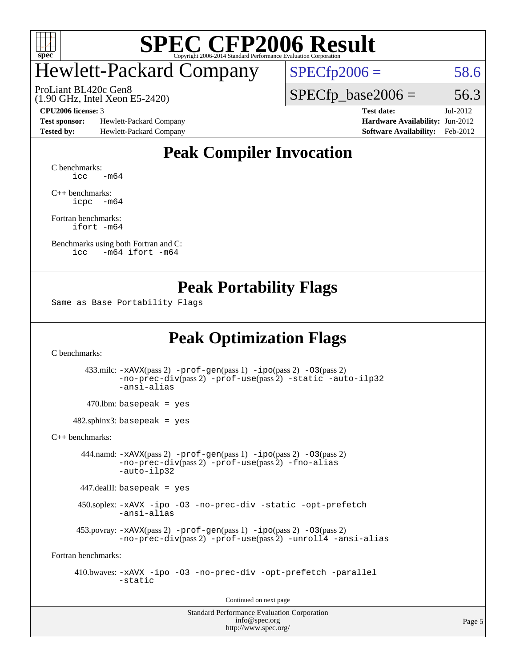

### Hewlett-Packard Company

(1.90 GHz, Intel Xeon E5-2420) ProLiant BL420c Gen8

 $SPECfp2006 = 58.6$  $SPECfp2006 = 58.6$ 

 $SPECTp\_base2006 = 56.3$ 

**[Test sponsor:](http://www.spec.org/auto/cpu2006/Docs/result-fields.html#Testsponsor)** Hewlett-Packard Company **[Hardware Availability:](http://www.spec.org/auto/cpu2006/Docs/result-fields.html#HardwareAvailability)** Jun-2012 **[Tested by:](http://www.spec.org/auto/cpu2006/Docs/result-fields.html#Testedby)** Hewlett-Packard Company **[Software Availability:](http://www.spec.org/auto/cpu2006/Docs/result-fields.html#SoftwareAvailability)** Feb-2012

**[CPU2006 license:](http://www.spec.org/auto/cpu2006/Docs/result-fields.html#CPU2006license)** 3 **[Test date:](http://www.spec.org/auto/cpu2006/Docs/result-fields.html#Testdate)** Jul-2012

#### **[Peak Compiler Invocation](http://www.spec.org/auto/cpu2006/Docs/result-fields.html#PeakCompilerInvocation)**

[C benchmarks](http://www.spec.org/auto/cpu2006/Docs/result-fields.html#Cbenchmarks):  $\text{icc}$   $-\text{m64}$ 

[C++ benchmarks:](http://www.spec.org/auto/cpu2006/Docs/result-fields.html#CXXbenchmarks) [icpc -m64](http://www.spec.org/cpu2006/results/res2012q3/cpu2006-20120813-24225.flags.html#user_CXXpeak_intel_icpc_64bit_bedb90c1146cab66620883ef4f41a67e)

[Fortran benchmarks](http://www.spec.org/auto/cpu2006/Docs/result-fields.html#Fortranbenchmarks): [ifort -m64](http://www.spec.org/cpu2006/results/res2012q3/cpu2006-20120813-24225.flags.html#user_FCpeak_intel_ifort_64bit_ee9d0fb25645d0210d97eb0527dcc06e)

[Benchmarks using both Fortran and C](http://www.spec.org/auto/cpu2006/Docs/result-fields.html#BenchmarksusingbothFortranandC): [icc -m64](http://www.spec.org/cpu2006/results/res2012q3/cpu2006-20120813-24225.flags.html#user_CC_FCpeak_intel_icc_64bit_0b7121f5ab7cfabee23d88897260401c) [ifort -m64](http://www.spec.org/cpu2006/results/res2012q3/cpu2006-20120813-24225.flags.html#user_CC_FCpeak_intel_ifort_64bit_ee9d0fb25645d0210d97eb0527dcc06e)

#### **[Peak Portability Flags](http://www.spec.org/auto/cpu2006/Docs/result-fields.html#PeakPortabilityFlags)**

Same as Base Portability Flags

#### **[Peak Optimization Flags](http://www.spec.org/auto/cpu2006/Docs/result-fields.html#PeakOptimizationFlags)**

[C benchmarks](http://www.spec.org/auto/cpu2006/Docs/result-fields.html#Cbenchmarks):

 433.milc: [-xAVX](http://www.spec.org/cpu2006/results/res2012q3/cpu2006-20120813-24225.flags.html#user_peakPASS2_CFLAGSPASS2_LDFLAGS433_milc_f-xAVX)(pass 2) [-prof-gen](http://www.spec.org/cpu2006/results/res2012q3/cpu2006-20120813-24225.flags.html#user_peakPASS1_CFLAGSPASS1_LDFLAGS433_milc_prof_gen_e43856698f6ca7b7e442dfd80e94a8fc)(pass 1) [-ipo](http://www.spec.org/cpu2006/results/res2012q3/cpu2006-20120813-24225.flags.html#user_peakPASS2_CFLAGSPASS2_LDFLAGS433_milc_f-ipo)(pass 2) [-O3](http://www.spec.org/cpu2006/results/res2012q3/cpu2006-20120813-24225.flags.html#user_peakPASS2_CFLAGSPASS2_LDFLAGS433_milc_f-O3)(pass 2) [-no-prec-div](http://www.spec.org/cpu2006/results/res2012q3/cpu2006-20120813-24225.flags.html#user_peakPASS2_CFLAGSPASS2_LDFLAGS433_milc_f-no-prec-div)(pass 2) [-prof-use](http://www.spec.org/cpu2006/results/res2012q3/cpu2006-20120813-24225.flags.html#user_peakPASS2_CFLAGSPASS2_LDFLAGS433_milc_prof_use_bccf7792157ff70d64e32fe3e1250b55)(pass 2) [-static](http://www.spec.org/cpu2006/results/res2012q3/cpu2006-20120813-24225.flags.html#user_peakOPTIMIZE433_milc_f-static) [-auto-ilp32](http://www.spec.org/cpu2006/results/res2012q3/cpu2006-20120813-24225.flags.html#user_peakCOPTIMIZE433_milc_f-auto-ilp32) [-ansi-alias](http://www.spec.org/cpu2006/results/res2012q3/cpu2006-20120813-24225.flags.html#user_peakCOPTIMIZE433_milc_f-ansi-alias)

 $470.$ lbm: basepeak = yes

 $482$ .sphinx3: basepeak = yes

[C++ benchmarks:](http://www.spec.org/auto/cpu2006/Docs/result-fields.html#CXXbenchmarks)

 444.namd: [-xAVX](http://www.spec.org/cpu2006/results/res2012q3/cpu2006-20120813-24225.flags.html#user_peakPASS2_CXXFLAGSPASS2_LDFLAGS444_namd_f-xAVX)(pass 2) [-prof-gen](http://www.spec.org/cpu2006/results/res2012q3/cpu2006-20120813-24225.flags.html#user_peakPASS1_CXXFLAGSPASS1_LDFLAGS444_namd_prof_gen_e43856698f6ca7b7e442dfd80e94a8fc)(pass 1) [-ipo](http://www.spec.org/cpu2006/results/res2012q3/cpu2006-20120813-24225.flags.html#user_peakPASS2_CXXFLAGSPASS2_LDFLAGS444_namd_f-ipo)(pass 2) [-O3](http://www.spec.org/cpu2006/results/res2012q3/cpu2006-20120813-24225.flags.html#user_peakPASS2_CXXFLAGSPASS2_LDFLAGS444_namd_f-O3)(pass 2) [-no-prec-div](http://www.spec.org/cpu2006/results/res2012q3/cpu2006-20120813-24225.flags.html#user_peakPASS2_CXXFLAGSPASS2_LDFLAGS444_namd_f-no-prec-div)(pass 2) [-prof-use](http://www.spec.org/cpu2006/results/res2012q3/cpu2006-20120813-24225.flags.html#user_peakPASS2_CXXFLAGSPASS2_LDFLAGS444_namd_prof_use_bccf7792157ff70d64e32fe3e1250b55)(pass 2) [-fno-alias](http://www.spec.org/cpu2006/results/res2012q3/cpu2006-20120813-24225.flags.html#user_peakCXXOPTIMIZEOPTIMIZE444_namd_f-no-alias_694e77f6c5a51e658e82ccff53a9e63a) [-auto-ilp32](http://www.spec.org/cpu2006/results/res2012q3/cpu2006-20120813-24225.flags.html#user_peakCXXOPTIMIZE444_namd_f-auto-ilp32)

 $447$ .dealII: basepeak = yes

 450.soplex: [-xAVX](http://www.spec.org/cpu2006/results/res2012q3/cpu2006-20120813-24225.flags.html#user_peakCXXOPTIMIZE450_soplex_f-xAVX) [-ipo](http://www.spec.org/cpu2006/results/res2012q3/cpu2006-20120813-24225.flags.html#user_peakCXXOPTIMIZE450_soplex_f-ipo) [-O3](http://www.spec.org/cpu2006/results/res2012q3/cpu2006-20120813-24225.flags.html#user_peakCXXOPTIMIZE450_soplex_f-O3) [-no-prec-div](http://www.spec.org/cpu2006/results/res2012q3/cpu2006-20120813-24225.flags.html#user_peakCXXOPTIMIZE450_soplex_f-no-prec-div) [-static](http://www.spec.org/cpu2006/results/res2012q3/cpu2006-20120813-24225.flags.html#user_peakCXXOPTIMIZE450_soplex_f-static) [-opt-prefetch](http://www.spec.org/cpu2006/results/res2012q3/cpu2006-20120813-24225.flags.html#user_peakCXXOPTIMIZE450_soplex_f-opt-prefetch) [-ansi-alias](http://www.spec.org/cpu2006/results/res2012q3/cpu2006-20120813-24225.flags.html#user_peakCXXOPTIMIZE450_soplex_f-ansi-alias)

 453.povray: [-xAVX](http://www.spec.org/cpu2006/results/res2012q3/cpu2006-20120813-24225.flags.html#user_peakPASS2_CXXFLAGSPASS2_LDFLAGS453_povray_f-xAVX)(pass 2) [-prof-gen](http://www.spec.org/cpu2006/results/res2012q3/cpu2006-20120813-24225.flags.html#user_peakPASS1_CXXFLAGSPASS1_LDFLAGS453_povray_prof_gen_e43856698f6ca7b7e442dfd80e94a8fc)(pass 1) [-ipo](http://www.spec.org/cpu2006/results/res2012q3/cpu2006-20120813-24225.flags.html#user_peakPASS2_CXXFLAGSPASS2_LDFLAGS453_povray_f-ipo)(pass 2) [-O3](http://www.spec.org/cpu2006/results/res2012q3/cpu2006-20120813-24225.flags.html#user_peakPASS2_CXXFLAGSPASS2_LDFLAGS453_povray_f-O3)(pass 2) [-no-prec-div](http://www.spec.org/cpu2006/results/res2012q3/cpu2006-20120813-24225.flags.html#user_peakPASS2_CXXFLAGSPASS2_LDFLAGS453_povray_f-no-prec-div)(pass 2) [-prof-use](http://www.spec.org/cpu2006/results/res2012q3/cpu2006-20120813-24225.flags.html#user_peakPASS2_CXXFLAGSPASS2_LDFLAGS453_povray_prof_use_bccf7792157ff70d64e32fe3e1250b55)(pass 2) [-unroll4](http://www.spec.org/cpu2006/results/res2012q3/cpu2006-20120813-24225.flags.html#user_peakCXXOPTIMIZE453_povray_f-unroll_4e5e4ed65b7fd20bdcd365bec371b81f) [-ansi-alias](http://www.spec.org/cpu2006/results/res2012q3/cpu2006-20120813-24225.flags.html#user_peakCXXOPTIMIZE453_povray_f-ansi-alias)

[Fortran benchmarks](http://www.spec.org/auto/cpu2006/Docs/result-fields.html#Fortranbenchmarks):

 410.bwaves: [-xAVX](http://www.spec.org/cpu2006/results/res2012q3/cpu2006-20120813-24225.flags.html#user_peakOPTIMIZE410_bwaves_f-xAVX) [-ipo](http://www.spec.org/cpu2006/results/res2012q3/cpu2006-20120813-24225.flags.html#user_peakOPTIMIZE410_bwaves_f-ipo) [-O3](http://www.spec.org/cpu2006/results/res2012q3/cpu2006-20120813-24225.flags.html#user_peakOPTIMIZE410_bwaves_f-O3) [-no-prec-div](http://www.spec.org/cpu2006/results/res2012q3/cpu2006-20120813-24225.flags.html#user_peakOPTIMIZE410_bwaves_f-no-prec-div) [-opt-prefetch](http://www.spec.org/cpu2006/results/res2012q3/cpu2006-20120813-24225.flags.html#user_peakOPTIMIZE410_bwaves_f-opt-prefetch) [-parallel](http://www.spec.org/cpu2006/results/res2012q3/cpu2006-20120813-24225.flags.html#user_peakOPTIMIZE410_bwaves_f-parallel) [-static](http://www.spec.org/cpu2006/results/res2012q3/cpu2006-20120813-24225.flags.html#user_peakOPTIMIZE410_bwaves_f-static)

Continued on next page

Standard Performance Evaluation Corporation [info@spec.org](mailto:info@spec.org) <http://www.spec.org/>